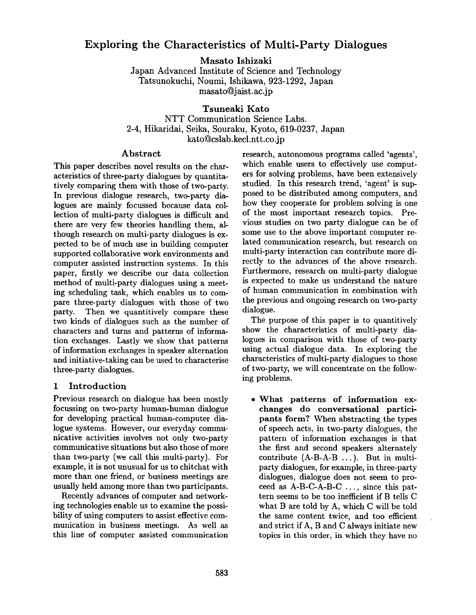# **Exploring the Characteristics of Multi-Party Dialogues**

**Masato** Ishizaki

Japan Advanced Institute of Science and Technology Tatsunokuchi, Noumi, Ishikawa, 923-1292, Japan masatoQjaist.ac.jp

**Tsuneaki Kato**  NTT Communication Science Labs. 2-4, Hikaridai, Seika, Souraku, Kyoto, 619-0237, Japan kato@cslab.kecl.ntt.co.jp

#### Abstract

This paper describes novel results on the characteristics of three-party dialogues by quantitatively comparing them with those of two-party. In previous dialogue research, two-party dialogues are mainly focussed because data collection of multi-party dialogues is difficult and there are very few theories handling them, although research on multi-party dialogues is expected to be of much use in building computer supported collaborative work environments and computer assisted instruction systems. In this paper, firstly we describe our data collection method of multi-party dialogues using a meeting scheduling task, which enables us to compare three-party dialogues with those of two party. Then we quantitively compare these two kinds of dialogues such as the number of characters and turns and patterns of information exchanges. Lastly we show that patterns of information exchanges in speaker alternation and initiative-taking can be used to characterise three-party dialogues.

#### 1 Introduction

Previous research on dialogue has been mostly focussing on two-party human-human dialogue for developing practical human-computer dialogue systems. However, our everyday communicative activities involves not only two-party communicative situations but also those of more than two-party (we call this multi-party). For example, it is not unusual for us to chitchat with more than one friend, or business meetings are usually held among more than two participants.

Recently advances of computer and networking technologies enable us to examine the possibility of using computers to assist effective communication in business meetings. As well as this line of computer assisted communication

research, autonomous programs called 'agents', which enable users to effectively use computers for solving problems, have been extensively studied. In this research trend, 'agent' is supposed to be distributed among computers, and how they cooperate for problem solving is one of the most important research topics. Previous studies on two party dialogue can be of some use to the above important computer related communication research, but research on multi-party interaction can contribute more directly to the advances of the above research. Furthermore, research on multi-party dialogue is expected to make us understand the nature of human communication in combination with the previous and ongoing research on two-party dialogue.

The purpose of this paper is to quantitively show the characteristics of multi-party dialogues in comparison with those of two-party using actual dialogue data. In exploring the characteristics of multi-party dialogues to those of two-party, we will concentrate on the following problems.

**What patterns of information exchanges do conversational participants** form? When abstracting the types of speech acts, in two-party dialogues, the pattern of information exchanges is that the first and second speakers alternately contribute (A-B-A-B ...). But in multiparty dialogues, for example, in three-party dialogues, dialogue does not seem to proceed as A-B-C-A-B-C ..., since this pattern seems to be too inefficient if B tells C what B are told by A, which C will be told the same content twice, and too efficient and strict if A, B and C always initiate new topics in this order, in which they have no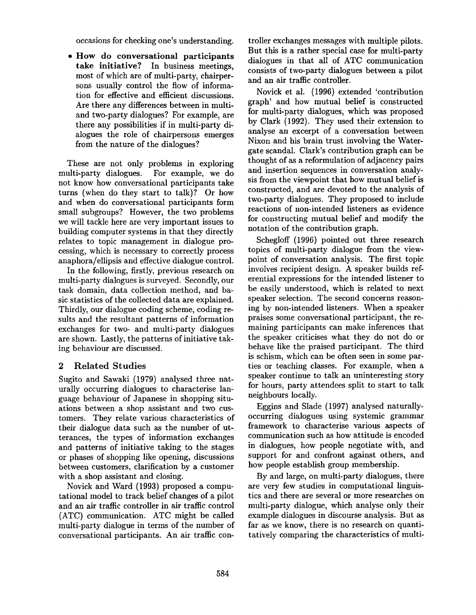occasions for checking one's understanding.

• How do conversational participants take initiative? In business meetings, most of which are of multi-party, chairpersons usually control the flow of information for effective and efficient discussions. Are there any differences between in multiand two-party dialogues? For example, are there any possibilities if in multi-party dialogues the role of chairpersons emerges from the nature of the dialogues?

These are not only problems in exploring multi-party dialogues. For example, we do not know how conversational participants take turns (when do they start to talk)? Or how and when do conversational participants form small subgroups? However, the two problems we will tackle here are very important issues to building computer systems in that they directly relates to topic management in dialogue processing, which is necessary to correctly process anaphora/ellipsis and effective dialogue control.

In the following, firstly, previous research on multi-party dialogues is surveyed. Secondly, our task domain, data collection method, and basic statistics of the collected data are explained. Thirdly, our dialogue coding scheme, coding results and the resultant patterns of information exchanges for two- and multi-party dialogues are shown. Lastly, the patterns of initiative taking behaviour are discussed.

## 2 Related Studies

Sugito and Sawaki (1979) analysed three naturally occurring dialogues to characterise language behaviour of Japanese in shopping situations between a shop assistant and two customers. They relate various characteristics of their dialogue data such as the number of utterances, the types of information exchanges and patterns of initiative taking to the stages or phases of shopping like opening, discussions between customers, clarification by a customer with a shop assistant and closing.

Novick and Ward (1993) proposed a computational model to track belief changes of a pilot and an air traffic controller in air traffic control (ATC) communication. ATC might be called multi-party dialogue in terms of the number of conversational participants. An air traffic controller exchanges messages with multiple pilots. But this is a rather special case for multi-party dialogues in that all of ATC communication consists of two-party dialogues between a pilot and an air traffic controller.

Novick et al. (1996) extended 'contribution graph' and how mutual belief is constructed for multi-party dialogues, which was proposed by Clark (1992). They used their extension to analyse an excerpt of a conversation between Nixon and his brain trust involving the Watergate scandal. Clark's contribution graph can be thought of as a reformulation of adjacency pairs and insertion sequences in conversation analysis from the viewpoint that how mutual belief is constructed, and are devoted to the analysis of two-party dialogues. They proposed to include reactions of non-intended listeners as evidence for constructing mutual belief and modify the notation of the contribution graph.

Schegloff (1996) pointed out three research topics of multi-party dialogue from the viewpoint of conversation analysis. The first topic involves recipient design. A speaker builds referential expressions for the intended listener to be easily understood, which is related to next speaker selection. The second concerns reasoning by non-intended listeners. When a speaker praises some conversational participant, the remaining participants can make inferences that the speaker criticises what they do not do or behave like the praised participant. The third is schism, which can be often seen in some parties or teaching classes. For example, when a speaker continue to talk an uninteresting story for hours, party attendees split to start to talk neighbours locally.

Eggins and Slade (1997) analysed naturallyoccurring dialogues using systemic grammar framework to characterise various aspects of communication such as how attitude is encoded in dialogues, how people negotiate with, and support for and confront against others, and how people establish group membership.

By and large, on multi-party dialogues, there are very few studies in computational linguistics and there are several or more researches on multi-party dialogue, which analyse only their example dialogues in discourse analysis. But as far as we know, there is no research on quantitatively comparing the characteristics of multi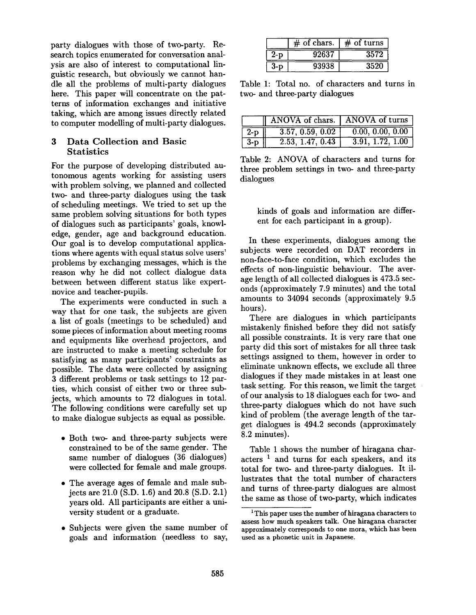party dialogues with those of two-party. Research topics enumerated for conversation analysis are also of interest to computational linguistic research, but obviously we cannot handle all the problems of multi-party dialogues here. This paper will concentrate on the patterns of information exchanges and initiative taking, which are among issues directly related to computer modelling of multi-party dialogues.

#### 3 Data Collection and Basic **Statistics**

For the purpose of developing distributed autonomous agents working for assisting users with problem solving, we planned and collected two- and three-party dialogues using the task of scheduling meetings. We tried to set up the same problem solving situations for both types of dialogues such as participants' goals, knowledge, gender, age and background education. Our goal is to develop computational applications where agents with equal status solve users' problems by exchanging messages, which is the reason why he did not collect dialogue data between between different status like expertnovice and teacher-pupils.

The experiments were conducted in such a way that for one task, the subjects are given a list of goals (meetings to be scheduled) and some pieces of information about meeting rooms and equipments like overhead projectors, and are instructed to make a meeting schedule for satisfying as many participants' constraints as possible. The data were collected by assigning 3 different problems or task settings to 12 parties, which consist of either two or three subjects, which amounts to 72 dialogues in total. The following conditions were carefully set up to make dialogue subjects as equal as possible.

- Both two- and three-party subjects were constrained to be of the same gender. The same number of dialogues (36 dialogues) were collected for female and male groups.
- The average ages of female and male subjects are 21.0 (S.D. 1.6) and 20.8 (S.D. 2.1) years old. All participants are either a university student or a graduate.
- Subjects were given the same number of goals and information (needless to say,

|     | $#$ of chars. | $#$ of turns |
|-----|---------------|--------------|
| 2-D | 92637         | 3572         |
|     | 93938         | 3520         |

Table 1: Total no. of characters and turns in two- and three-party dialogues

|                   | ANOVA of chars. ANOVA of turns |                                |  |  |  |  |  |  |
|-------------------|--------------------------------|--------------------------------|--|--|--|--|--|--|
| $\vert 2-p \vert$ | 3.57, 0.59, 0.02               | $\boxed{0.00, 0.00, 0.00}$     |  |  |  |  |  |  |
| $3-p$             | 2.53, 1.47, 0.43               | $\overline{3.91}$ , 1.72, 1.00 |  |  |  |  |  |  |

Table 2: ANOVA of characters and turns for three problem settings in two- and three-party dialogues

kinds of goals and information are different for each participant in a group).

In these experiments, dialogues among the subjects were recorded on DAT recorders in non-face-to-face condition, which excludes the effects of non-linguistic behaviour. The average length of all collected dialogues is 473.5 seconds (approximately 7.9 minutes) and the total amounts to 34094 seconds (approximately 9.5 hours).

There are dialogues in which participants mistakenly finished before they did not satisfy all possible constraints. It is very rare that one party did this sort of mistakes for all three task settings assigned to them, however in order to eliminate unknown effects, we exclude all three dialogues if they made mistakes in at least one task setting. For this reason, we limit the target of our analysis to 18 dialogues each for two- and three-party dialogues which do not have such kind of problem (the average length of the target dialogues is 494.2 seconds (approximately 8.2 minutes).

Table 1 shows the number of hiragana characters  $<sup>1</sup>$  and turns for each speakers, and its</sup> total for two- and three-party dialogues. It illustrates that the total number of characters and turns of three-party dialogues are almost the same as those of two-party, which indicates

<sup>&</sup>lt;sup>1</sup>This paper uses the number of hiragana characters to assess how much speakers talk. One hiragana character approximately corresponds to one mora, which has been used as a phonetic unit in Japanese.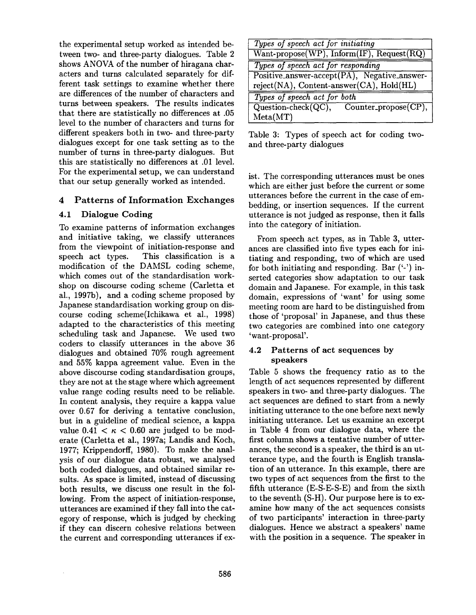the experimental setup worked as intended between two- and three-party dialogues. Table 2 shows ANOVA of the number of hiragana characters and turns calculated separately for different task settings to examine whether there are differences of the number of characters and turns between speakers. The results indicates that there are statistically no differences at .05 level to the number of characters and turns for different speakers both in two- and three-party dialogues except for one task setting as to the number of turns in three-party dialogues. But this are statistically no differences at .01 level. For the experimental setup, we can understand that our setup generally worked as intended.

### 4 Patterns of Information Exchanges

### 4.1 Dialogue Coding

To examine patterns of information exchanges and initiative taking, we classify utterances from the viewpoint of initiation-response and speech act types. This classification is a modification of the DAMSL coding scheme, which comes out of the standardisation workshop on discourse coding scheme (Carletta et al., 1997b), and a coding scheme proposed by Japanese standardisation working group on discourse coding scheme(Ichikawa et al., 1998) adapted to the characteristics of this meeting scheduling task and Japanese. We used two coders to classify utterances in the above 36 dialogues and obtained 70% rough agreement and 55% kappa agreement value. Even in the above discourse coding standardisation groups, they are not at the stage where which agreement value range coding results need to be reliable. In content analysis, they require a kappa value over 0.67 for deriving a tentative conclusion, but in a guideline of medical science, a kappa value  $0.41 < \kappa < 0.60$  are judged to be moderate (Carletta et al., 1997a; Landis and Koch, 1977; Krippendorff, 1980). To make the analysis of our dialogue data robust, we analysed both coded dialogues, and obtained similar results. As space is limited, instead of discussing both results, we discuss one result in the following. From the aspect of initiation-response, utterances are examined if they fall into the category of response, which is judged by checking if they can discern cohesive relations between the current and corresponding utterances if ex-

| Types of speech act for initiating           |  |  |  |  |  |  |  |  |  |  |
|----------------------------------------------|--|--|--|--|--|--|--|--|--|--|
| Want-propose(WP), Inform(IF), Request(RQ)    |  |  |  |  |  |  |  |  |  |  |
| Types of speech act for responding           |  |  |  |  |  |  |  |  |  |  |
| Positive_answer-accept(PA), Negative_answer- |  |  |  |  |  |  |  |  |  |  |
| reject(NA), Content-answer(CA), Hold(HL)     |  |  |  |  |  |  |  |  |  |  |
| Types of speech act for both                 |  |  |  |  |  |  |  |  |  |  |
| $Question-check(QC),$ Counter_propose(CP),   |  |  |  |  |  |  |  |  |  |  |
| Meta(MT)                                     |  |  |  |  |  |  |  |  |  |  |

Table 3: Types of speech act for coding twoand three-party dialogues

ist. The corresponding utterances must be ones which are either just before the current or some utterances before the current in the case of embedding, or insertion sequences. If the current utterance is not judged as response, then it falls into the category of initiation.

From speech act types, as in Table 3, utterances are classified into five types each for initiating and responding, two of which are used for both initiating and responding. Bar  $(2)$  inserted categories show adaptation to our task domain and Japanese. For example, in this task domain, expressions of 'want' for using some meeting room are hard to be distinguished from those of 'proposal' in Japanese, and thus these two categories are combined into one category 'want-proposal'.

### 4.2 Patterns of act sequences by speakers

Table 5 shows the frequency ratio as to the length of act sequences represented by different speakers in two- and three-party dialogues. The act sequences are defined to start from a newly initiating utterance to the one before next newly initiating utterance. Let us examine an excerpt in Table 4 from our dialogue data, where the first column shows a tentative number of utterances, the second is a speaker, the third is an utterance type, and the fourth is English translation of an utterance. In this example, there are two types of act sequences from the first to the fifth utterance (E-S-E-S-E) and from the sixth to the seventh (S-H). Our purpose here is to examine how many of the act sequences consists of two participants' interaction in three-party dialogues. Hence we abstract a speakers' name with the position in a sequence. The speaker in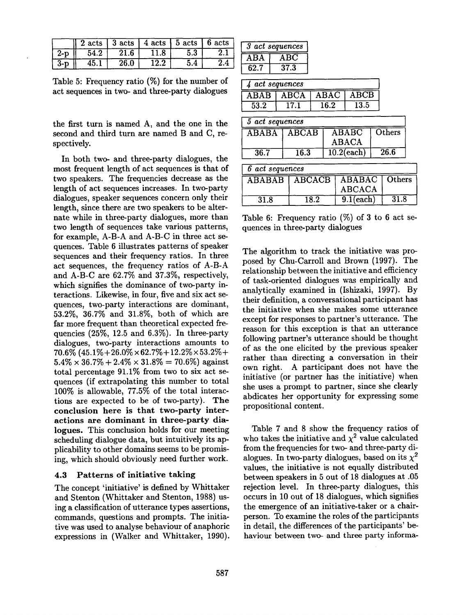|     |      |      | $2 \text{ acts}$ 3 acts 4 acts 5 acts 6 acts |  |
|-----|------|------|----------------------------------------------|--|
| 2-n | 54.2 | 21.6 |                                              |  |
| 3-D | 45.  | 26.0 |                                              |  |

Table 5: Frequency ratio (%) for the number of act sequences in two- and three-party dialogues

the first turn is named A, and the one in the second and third turn are named B and C, respectively.

In both two- and three-party dialogues, the most frequent length of act sequences is that of two speakers. The frequencies decrease as the length of act sequences increases. In two-party dialogues, speaker sequences concern only their length, since there are two speakers to be alternate while in three-party dialogues, more than two length of sequences take various patterns, for example, A-B-A and A-B-C in three act sequences. Table 6 illustrates patterns of speaker sequences and their frequency ratios. In three act sequences, the frequency ratios of A-B-A and A-B-C are 62.7% and 37.3%, respectively, which signifies the dominance of two-party interactions. Likewise, in four, five and six act sequences, two-party interactions are dominant, 53.2%, 36.7% and 31.8%, both of which are far more frequent than theoretical expected frequencies (25%, 12.5 and 6.3%). In three-party dialogues, two-party interactions amounts to  $70.6\%$  (45.1% + 26.0%  $\times$  62.7% + 12.2%  $\times$  53.2% +  $5.4\% \times 36.7\% + 2.4\% \times 31.8\% = 70.6\%$ ) against total percentage 91.1% from two to six act sequences (if extrapolating this number to total 100% is allowable, 77.5% of the total interactions are expected to be of two-party). **The conclusion here is that two-party interactions are dominant in three-party dialogues.** This conclusion holds for our meeting scheduling dialogue data, but intuitively its applicability to other domains seems to be promising, which should obviously need further work.

#### 4.3 Patterns of initiative taking

The concept 'initiative' is defined by Whittaker and Stenton (Whittaker and Stenton, 1988) using a classification of utterance types assertions, commands, questions and prompts. The initiative was used to analyse behaviour of anaphoric expressions in (Walker and Whittaker, 1990).

| 3    | act sequences |
|------|---------------|
| ABA  | ABC           |
| 62.7 | 37.3          |

| 4 act sequences       |      |                          |                        |                            |                         |                          |      |        |  |  |  |  |  |
|-----------------------|------|--------------------------|------------------------|----------------------------|-------------------------|--------------------------|------|--------|--|--|--|--|--|
| $\overline{\rm ABAB}$ |      | $\overline{\text{ABCA}}$ |                        | $\overline{\mathbf{ABAC}}$ |                         | $\overline{\text{ABCB}}$ |      |        |  |  |  |  |  |
| 53.2                  |      | $\overline{17.1}$        |                        | 16.2                       |                         | 13.5                     |      |        |  |  |  |  |  |
| 5 act sequences       |      |                          |                        |                            |                         |                          |      |        |  |  |  |  |  |
| <b>ABABA</b>          |      |                          | $\overline{\rm ABCAB}$ |                            |                         | <b>ABABC</b>             |      | Others |  |  |  |  |  |
|                       |      |                          |                        |                            |                         | <b>ABACA</b>             |      |        |  |  |  |  |  |
| 36.7                  |      | $\overline{16.3}$        |                        |                            | $10.2$ (each)           |                          | 26.6 |        |  |  |  |  |  |
| 6 act sequences       |      |                          |                        |                            |                         |                          |      |        |  |  |  |  |  |
| <b>ABABAB</b>         |      | <b>ABCACB</b>            |                        |                            | $\overline{\rm ABABAC}$ |                          |      | Others |  |  |  |  |  |
|                       |      |                          |                        |                            | <b>ABCACA</b>           |                          |      |        |  |  |  |  |  |
| 31.8                  | 18.2 |                          |                        | $9.1$ (each)               |                         |                          | 31.8 |        |  |  |  |  |  |

Table 6: Frequency ratio  $(\%)$  of 3 to 6 act sequences in three-party dialogues

The algorithm to track the initiative was proposed by Chu-Carroll and Brown (1997). The relationship between the initiative and efficiency of task-oriented dialogues was empirically and analytically examined in (Ishizaki, 1997). By their definition, a conversational participant has the initiative when she makes some utterance except for responses to partner's utterance. The reason for this exception is that an utterance following partner's utterance should be thought of as the one elicited by the previous speaker rather than directing a conversation in their own right. A participant does not have the initiative (or partner has the initiative) when she uses a prompt to partner, since she clearly abdicates her opportunity for expressing some propositional content.

Table 7 and 8 show the frequency ratios of who takes the initiative and  $\chi^2$  value calculated from the frequencies for two- and three-party dialogues. In two-party dialogues, based on its  $\chi^2$ values, the initiative is not equally distributed between speakers in 5 out of 18 dialogues at .05 rejection level. In three-party dialogues, this occurs in 10 out of 18 dialogues, which signifies the emergence of an initiative-taker or a chairperson. To examine the roles of the participants in detail, the differences of the participants' behaviour between two- and three party informa-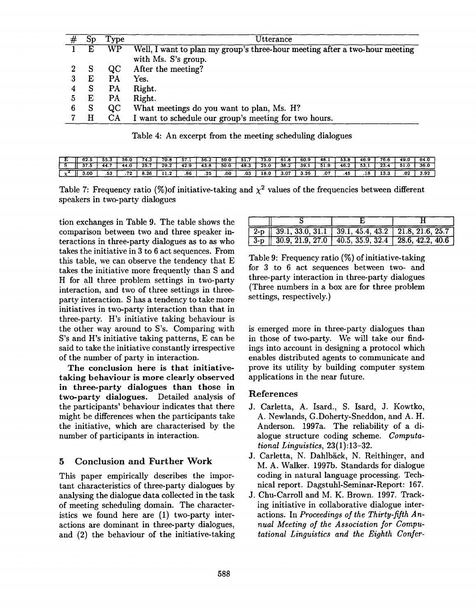|   | Sp | Type      | ${\tt Utterance}$                                                                                  |
|---|----|-----------|----------------------------------------------------------------------------------------------------|
|   |    | WP        | Well, I want to plan my group's three-hour meeting after a two-hour meeting<br>with Ms. S's group. |
|   | S  | QC        | After the meeting?                                                                                 |
|   | Е  | <b>PA</b> | Yes.                                                                                               |
|   | S  | <b>PA</b> | Right.                                                                                             |
| 5 | Е  | <b>PA</b> | Right.                                                                                             |
| 6 | S  | QC        | What meetings do you want to plan, Ms. H?                                                          |
|   | H  | <b>CA</b> | I want to schedule our group's meeting for two hours.                                              |

Table 4: An excerpt from the meeting scheduling dialogues

|      | აა.ა | 56.0 | . .<br>. | ە.70 | 57.1 | 56., | 50.0 | 51.  | .    | 61.8 | 60.9 | - 48. . | 53.8 | 46.5           | 76.6           | 49.0 | 64.0 |
|------|------|------|----------|------|------|------|------|------|------|------|------|---------|------|----------------|----------------|------|------|
|      | 44   | 44.0 | -25.     | 29.2 | 42.9 | 43.8 | 50.0 | 48.3 | 25.0 | 38.2 | 39.  | 51.9    | 46.1 | 53             | - 22<br>، د ه  |      | 36.0 |
| 3.00 | .53  | 70   | - 26     |      | .86  | .25  | .00  | .03  | 18.0 | 3.07 | 3.26 | .07     | .    | $\bullet$<br>. | $\bullet$<br>. | .02  | 3.92 |

Table 7: Frequency ratio (%) of initiative-taking and  $\chi^2$  values of the frequencies between different speakers in two-party dialogues

tion exchanges in Table 9. The table shows the comparison between two and three speaker interactions in three-party dialogues as to as who takes the initiative in 3 to 6 act sequences. From this table, we can observe the tendency that E takes the initiative more frequently than S and H for all three problem settings in two-party interaction, and two of three settings in threeparty interaction. S has a tendency to take more initiatives in two-party interaction than that in three-party. H's initiative taking behaviour is the other way around to S's. Comparing with S's and H's initiative taking patterns, E can be said to take the initiative constantly irrespective of the number of party in interaction.

The conclusion here is that initiativetaking behaviour is more clearly observed **in** three-party dialogues than those **in**  two-party dialogues. Detailed analysis of the participants' behaviour indicates that there might be differences when the participants take the initiative, which are characterised by the number of participants in interaction.

## 5 Conclusion and Further Work

This paper empirically describes the important characteristics of three-party dialogues by analysing the dialogue data collected in the task of meeting scheduling domain. The characteristics we found here are (1) two-party interactions are dominant in three-party dialogues, and (2) the behaviour of the initiative-taking

Table 9: Frequency ratio (%) of initiative-taking for 3 to 6 act sequences between two- and three-party interaction in three-party dialogues (Three numbers in a box are for three problem settings, respectively.)

is emerged more in three-party dialogues than in those of two-party. We will take our findings into account in designing a protocol which enables distributed agents to communicate and prove its utility by building computer system applications in the near future.

#### References

- J. Carletta, A. Isard., S. Isard, J. Kowtko, A. Newlands, G.Doherty-Sneddon, and A. H. Anderson. 1997a. The reliability of a dialogue structure coding scheme. *Computational Linguistics,* 23(1):13-32.
- J. Carletta, N. Dahlbäck, N. Reithinger, and M. A. Walker. 1997b. Standards for dialogue coding in natural language processing. Technical report. Dagstuhl-Seminar-Report: 167.
- J. Chu-Carroll and M. K. Brown. 1997. Tracking initiative in collaborative dialogue interactions. In *Proceedings of the Thirty-fifth Annual Meeting of the Association for Computational Linguistics and the Eighth Confer-*